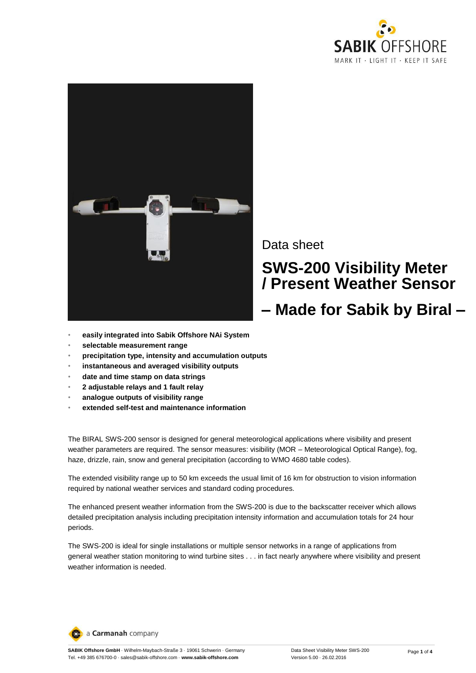



Data sheet

# **SWS-200 Visibility Meter / Present Weather Sensor**

## **– Made for Sabik by Biral –**

- **easily integrated into Sabik Offshore NAi System**
- **selectable measurement range**
- **precipitation type, intensity and accumulation outputs**
- **instantaneous and averaged visibility outputs**
- **date and time stamp on data strings**
- **2 adjustable relays and 1 fault relay**
- **analogue outputs of visibility range**
- **extended self-test and maintenance information**

The BIRAL SWS-200 sensor is designed for general meteorological applications where visibility and present weather parameters are required. The sensor measures: visibility (MOR – Meteorological Optical Range), fog, haze, drizzle, rain, snow and general precipitation (according to WMO 4680 table codes).

The extended visibility range up to 50 km exceeds the usual limit of 16 km for obstruction to vision information required by national weather services and standard coding procedures.

The enhanced present weather information from the SWS-200 is due to the backscatter receiver which allows detailed precipitation analysis including precipitation intensity information and accumulation totals for 24 hour periods.

The SWS-200 is ideal for single installations or multiple sensor networks in a range of applications from general weather station monitoring to wind turbine sites . . . in fact nearly anywhere where visibility and present weather information is needed.

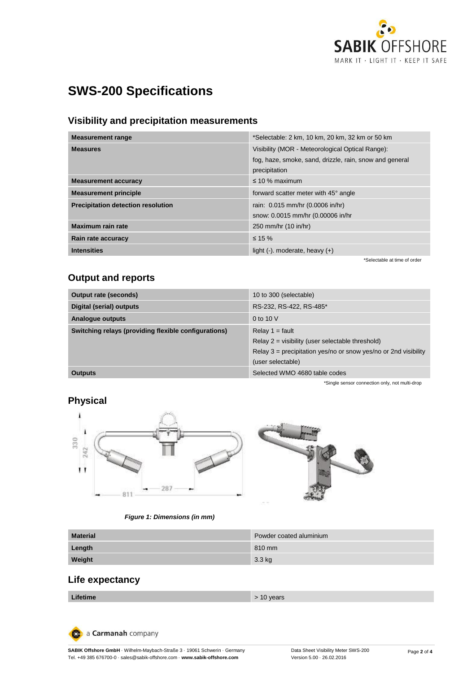

## **SWS-200 Specifications**

#### **Visibility and precipitation measurements**

| <b>Measurement range</b>                  | *Selectable: 2 km, 10 km, 20 km, 32 km or 50 km                                                                              |
|-------------------------------------------|------------------------------------------------------------------------------------------------------------------------------|
| <b>Measures</b>                           | Visibility (MOR - Meteorological Optical Range):<br>fog, haze, smoke, sand, drizzle, rain, snow and general<br>precipitation |
| <b>Measurement accuracy</b>               | $\leq 10$ % maximum                                                                                                          |
| <b>Measurement principle</b>              | forward scatter meter with 45° angle                                                                                         |
| <b>Precipitation detection resolution</b> | rain: 0.015 mm/hr (0.0006 in/hr)<br>snow: 0.0015 mm/hr (0.00006 in/hr                                                        |
| Maximum rain rate                         | 250 mm/hr (10 in/hr)                                                                                                         |
| Rain rate accuracy                        | $\leq$ 15 %                                                                                                                  |
| <b>Intensities</b>                        | light $(-)$ . moderate, heavy $(+)$                                                                                          |
|                                           | *Selectable at time of order                                                                                                 |

#### **Output and reports**

| Output rate (seconds)                                | 10 to 300 (selectable)                                                                                                                                            |
|------------------------------------------------------|-------------------------------------------------------------------------------------------------------------------------------------------------------------------|
| Digital (serial) outputs                             | RS-232, RS-422, RS-485*                                                                                                                                           |
| Analogue outputs                                     | 0 to 10 V                                                                                                                                                         |
| Switching relays (providing flexible configurations) | Relay $1 =$ fault<br>Relay $2 =$ visibility (user selectable threshold)<br>Relay $3$ = precipitation yes/no or snow yes/no or 2nd visibility<br>(user selectable) |
| <b>Outputs</b>                                       | Selected WMO 4680 table codes                                                                                                                                     |
|                                                      | *Single sensor connection only, not multi-drop                                                                                                                    |

### **Physical**



#### *Figure 1: Dimensions (in mm)*

| <b>Material</b> | Powder coated aluminium |
|-----------------|-------------------------|
| Length          | 810 mm                  |
| Weight          | 3.3 kg                  |

### **Life expectancy**

| Lifetime | $> 10$ years |
|----------|--------------|
|----------|--------------|

a Carmanah company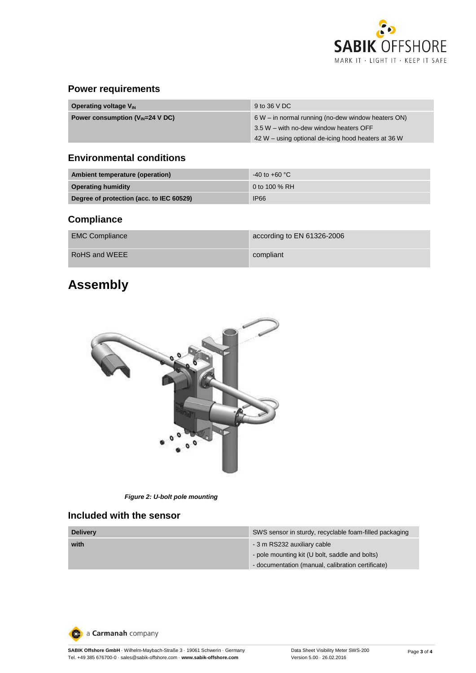

#### **Power requirements**

| <b>Operating voltage V<sub>IN</sub></b>             | 9 to 36 V DC                                         |
|-----------------------------------------------------|------------------------------------------------------|
| Power consumption $(V_{\text{IN}}=24 \text{ V DC})$ | $6 W$ – in normal running (no-dew window heaters ON) |
|                                                     | 3.5 W – with no-dew window heaters OFF               |
|                                                     | 42 W – using optional de-icing hood heaters at 36 W  |

#### **Environmental conditions**

| Ambient temperature (operation)          | $-40$ to $+60$ °C |
|------------------------------------------|-------------------|
| <b>Operating humidity</b>                | 0 to 100 % RH     |
| Degree of protection (acc. to IEC 60529) | <b>IP66</b>       |

### **Compliance**

| <b>EMC Compliance</b> | according to EN 61326-2006 |
|-----------------------|----------------------------|
| RoHS and WEEE         | compliant                  |

## **Assembly**



*Figure 2: U-bolt pole mounting*

#### **Included with the sensor**

| <b>Delivery</b> | SWS sensor in sturdy, recyclable foam-filled packaging |
|-----------------|--------------------------------------------------------|
| with            | - 3 m RS232 auxiliary cable                            |
|                 | - pole mounting kit (U bolt, saddle and bolts)         |
|                 | - documentation (manual, calibration certificate)      |